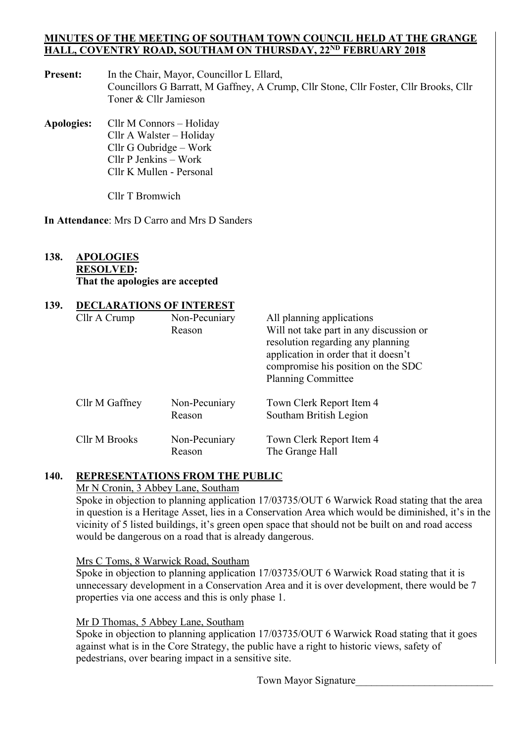#### **MINUTES OF THE MEETING OF SOUTHAM TOWN COUNCIL HELD AT THE GRANGE HALL, COVENTRY ROAD, SOUTHAM ON THURSDAY, 22ND FEBRUARY 2018**

Present: In the Chair, Mayor, Councillor L Ellard, Councillors G Barratt, M Gaffney, A Crump, Cllr Stone, Cllr Foster, Cllr Brooks, Cllr Toner & Cllr Jamieson

**Apologies:** Cllr M Connors – Holiday Cllr A Walster – Holiday Cllr G Oubridge – Work Cllr P Jenkins – Work Cllr K Mullen - Personal

Cllr T Bromwich

**In Attendance**: Mrs D Carro and Mrs D Sanders

#### **138. APOLOGIES RESOLVED: That the apologies are accepted**

## **139. DECLARATIONS OF INTEREST**

| Cllr A Crump   | Non-Pecuniary<br>Reason | All planning applications<br>Will not take part in any discussion or<br>resolution regarding any planning<br>application in order that it doesn't<br>compromise his position on the SDC<br><b>Planning Committee</b> |
|----------------|-------------------------|----------------------------------------------------------------------------------------------------------------------------------------------------------------------------------------------------------------------|
| Cllr M Gaffney | Non-Pecuniary<br>Reason | Town Clerk Report Item 4<br>Southam British Legion                                                                                                                                                                   |
| Cllr M Brooks  | Non-Pecuniary<br>Reason | Town Clerk Report Item 4<br>The Grange Hall                                                                                                                                                                          |

## **140. REPRESENTATIONS FROM THE PUBLIC**

## Mr N Cronin, 3 Abbey Lane, Southam

 Spoke in objection to planning application 17/03735/OUT 6 Warwick Road stating that the area in question is a Heritage Asset, lies in a Conservation Area which would be diminished, it's in the vicinity of 5 listed buildings, it's green open space that should not be built on and road access would be dangerous on a road that is already dangerous.

#### Mrs C Toms, 8 Warwick Road, Southam

 Spoke in objection to planning application 17/03735/OUT 6 Warwick Road stating that it is unnecessary development in a Conservation Area and it is over development, there would be 7 properties via one access and this is only phase 1.

#### Mr D Thomas, 5 Abbey Lane, Southam

 Spoke in objection to planning application 17/03735/OUT 6 Warwick Road stating that it goes against what is in the Core Strategy, the public have a right to historic views, safety of pedestrians, over bearing impact in a sensitive site.

Town Mayor Signature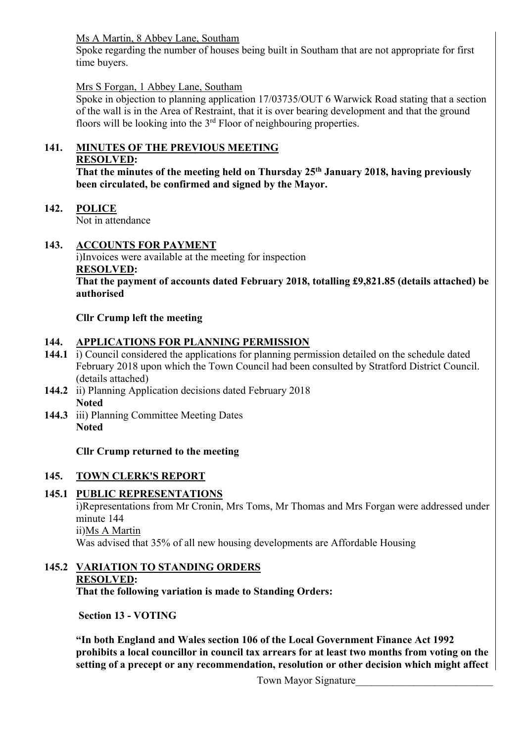Ms A Martin, 8 Abbey Lane, Southam

 Spoke regarding the number of houses being built in Southam that are not appropriate for first time buyers.

## Mrs S Forgan, 1 Abbey Lane, Southam

 Spoke in objection to planning application 17/03735/OUT 6 Warwick Road stating that a section of the wall is in the Area of Restraint, that it is over bearing development and that the ground floors will be looking into the  $3<sup>rd</sup>$  Floor of neighbouring properties.

# **141. MINUTES OF THE PREVIOUS MEETING**

## **RESOLVED:**

**That the minutes of the meeting held on Thursday 25th January 2018, having previously been circulated, be confirmed and signed by the Mayor.** 

**142. POLICE** 

Not in attendance

## **143. ACCOUNTS FOR PAYMENT**

 i)Invoices were available at the meeting for inspection **RESOLVED: That the payment of accounts dated February 2018, totalling £9,821.85 (details attached) be authorised** 

## **Cllr Crump left the meeting**

## **144. APPLICATIONS FOR PLANNING PERMISSION**

- **144.1** i) Council considered the applications for planning permission detailed on the schedule dated February 2018 upon which the Town Council had been consulted by Stratford District Council. (details attached)
- **144.2** ii) Planning Application decisions dated February 2018 **Noted**
- **144.3** iii) Planning Committee Meeting Dates **Noted**

## **Cllr Crump returned to the meeting**

## **145. TOWN CLERK'S REPORT**

# **145.1 PUBLIC REPRESENTATIONS**

i)Representations from Mr Cronin, Mrs Toms, Mr Thomas and Mrs Forgan were addressed under minute 144

ii)Ms A Martin

Was advised that 35% of all new housing developments are Affordable Housing

# **145.2 VARIATION TO STANDING ORDERS RESOLVED:**

 **That the following variation is made to Standing Orders:** 

 **Section 13 - VOTING** 

**"In both England and Wales section 106 of the Local Government Finance Act 1992 prohibits a local councillor in council tax arrears for at least two months from voting on the setting of a precept or any recommendation, resolution or other decision which might affect**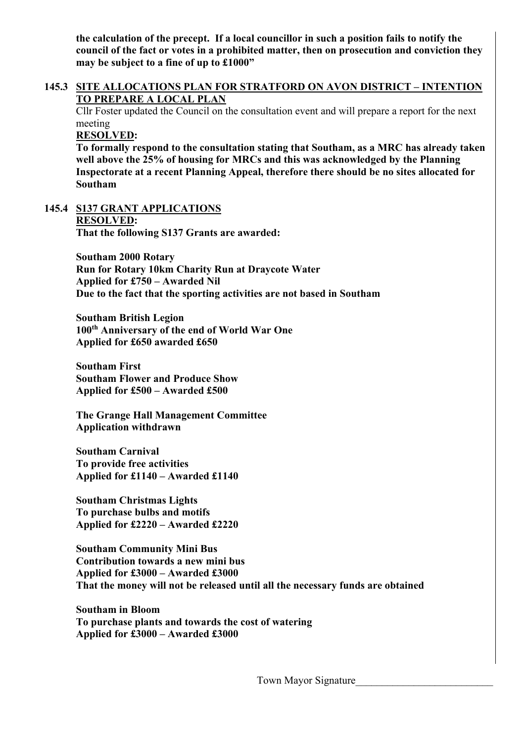**the calculation of the precept. If a local councillor in such a position fails to notify the council of the fact or votes in a prohibited matter, then on prosecution and conviction they may be subject to a fine of up to £1000"** 

#### **145.3 SITE ALLOCATIONS PLAN FOR STRATFORD ON AVON DISTRICT – INTENTION TO PREPARE A LOCAL PLAN**

 Cllr Foster updated the Council on the consultation event and will prepare a report for the next meeting

**RESOLVED:** 

**To formally respond to the consultation stating that Southam, as a MRC has already taken well above the 25% of housing for MRCs and this was acknowledged by the Planning Inspectorate at a recent Planning Appeal, therefore there should be no sites allocated for Southam** 

**145.4 S137 GRANT APPLICATIONS RESOLVED: That the following S137 Grants are awarded:** 

> **Southam 2000 Rotary Run for Rotary 10km Charity Run at Draycote Water Applied for £750 – Awarded Nil Due to the fact that the sporting activities are not based in Southam**

**Southam British Legion 100th Anniversary of the end of World War One Applied for £650 awarded £650** 

**Southam First Southam Flower and Produce Show Applied for £500 – Awarded £500** 

**The Grange Hall Management Committee Application withdrawn** 

**Southam Carnival To provide free activities Applied for £1140 – Awarded £1140** 

**Southam Christmas Lights To purchase bulbs and motifs Applied for £2220 – Awarded £2220** 

**Southam Community Mini Bus Contribution towards a new mini bus Applied for £3000 – Awarded £3000 That the money will not be released until all the necessary funds are obtained** 

**Southam in Bloom To purchase plants and towards the cost of watering Applied for £3000 – Awarded £3000**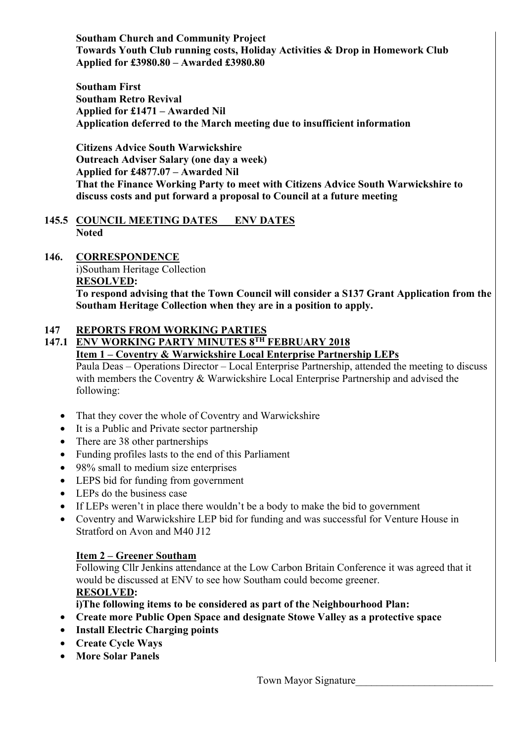**Southam Church and Community Project Towards Youth Club running costs, Holiday Activities & Drop in Homework Club Applied for £3980.80 – Awarded £3980.80** 

**Southam First Southam Retro Revival Applied for £1471 – Awarded Nil Application deferred to the March meeting due to insufficient information** 

**Citizens Advice South Warwickshire Outreach Adviser Salary (one day a week) Applied for £4877.07 – Awarded Nil That the Finance Working Party to meet with Citizens Advice South Warwickshire to discuss costs and put forward a proposal to Council at a future meeting** 

#### **145.5 COUNCIL MEETING DATES ENV DATES Noted**

## **146. CORRESPONDENCE**

i)Southam Heritage Collection **RESOLVED:** 

 **To respond advising that the Town Council will consider a S137 Grant Application from the Southam Heritage Collection when they are in a position to apply.** 

## **147 REPORTS FROM WORKING PARTIES**

## **147.1 ENV WORKING PARTY MINUTES 8TH FEBRUARY 2018**

 **Item 1 – Coventry & Warwickshire Local Enterprise Partnership LEPs** 

Paula Deas – Operations Director – Local Enterprise Partnership, attended the meeting to discuss with members the Coventry & Warwickshire Local Enterprise Partnership and advised the following:

- That they cover the whole of Coventry and Warwickshire
- It is a Public and Private sector partnership
- There are 38 other partnerships
- Funding profiles lasts to the end of this Parliament
- 98% small to medium size enterprises
- LEPS bid for funding from government
- LEPs do the business case
- If LEPs weren't in place there wouldn't be a body to make the bid to government
- Coventry and Warwickshire LEP bid for funding and was successful for Venture House in Stratford on Avon and M40 J12

#### **Item 2 – Greener Southam**

Following Cllr Jenkins attendance at the Low Carbon Britain Conference it was agreed that it would be discussed at ENV to see how Southam could become greener.  **RESOLVED:** 

 **i)The following items to be considered as part of the Neighbourhood Plan:** 

- **Create more Public Open Space and designate Stowe Valley as a protective space**
- **Install Electric Charging points**
- **Create Cycle Ways**
- **More Solar Panels**

Town Mayor Signature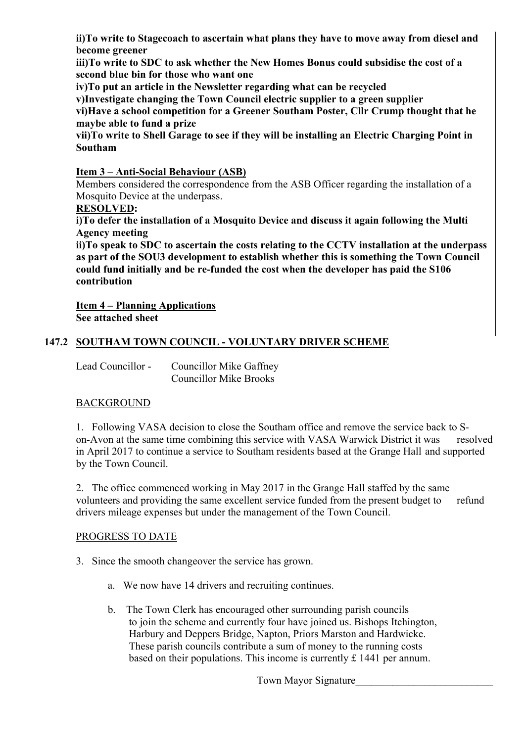**ii)To write to Stagecoach to ascertain what plans they have to move away from diesel and become greener** 

 **iii)To write to SDC to ask whether the New Homes Bonus could subsidise the cost of a second blue bin for those who want one** 

 **iv)To put an article in the Newsletter regarding what can be recycled** 

 **v)Investigate changing the Town Council electric supplier to a green supplier** 

 **vi)Have a school competition for a Greener Southam Poster, Cllr Crump thought that he maybe able to fund a prize** 

 **vii)To write to Shell Garage to see if they will be installing an Electric Charging Point in Southam** 

## **Item 3 – Anti-Social Behaviour (ASB)**

Members considered the correspondence from the ASB Officer regarding the installation of a Mosquito Device at the underpass.

## **RESOLVED:**

 **i)To defer the installation of a Mosquito Device and discuss it again following the Multi Agency meeting** 

 **ii)To speak to SDC to ascertain the costs relating to the CCTV installation at the underpass as part of the SOU3 development to establish whether this is something the Town Council could fund initially and be re-funded the cost when the developer has paid the S106 contribution** 

 **Item 4 – Planning Applications See attached sheet** 

## **147.2 SOUTHAM TOWN COUNCIL - VOLUNTARY DRIVER SCHEME**

Lead Councillor - Councillor Mike Gaffney Councillor Mike Brooks

#### BACKGROUND

 1. Following VASA decision to close the Southam office and remove the service back to S on-Avon at the same time combining this service with VASA Warwick District it was resolved in April 2017 to continue a service to Southam residents based at the Grange Hall and supported by the Town Council.

 2. The office commenced working in May 2017 in the Grange Hall staffed by the same volunteers and providing the same excellent service funded from the present budget to refund drivers mileage expenses but under the management of the Town Council.

#### PROGRESS TO DATE

3. Since the smooth changeover the service has grown.

- a. We now have 14 drivers and recruiting continues.
- b. The Town Clerk has encouraged other surrounding parish councils to join the scheme and currently four have joined us. Bishops Itchington, Harbury and Deppers Bridge, Napton, Priors Marston and Hardwicke. These parish councils contribute a sum of money to the running costs based on their populations. This income is currently £ 1441 per annum.

Town Mayor Signature\_\_\_\_\_\_\_\_\_\_\_\_\_\_\_\_\_\_\_\_\_\_\_\_\_\_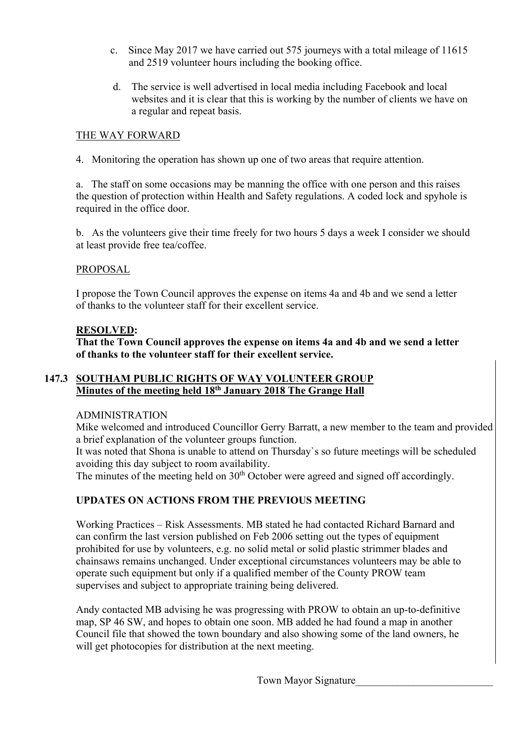- c. Since May 2017 we have carried out 575 journeys with a total mileage of 11615 and 2519 volunteer hours including the booking office.
- d. The service is well advertised in local media including Facebook and local websites and it is clear that this is working by the number of clients we have on a regular and repeat basis.

#### THE WAY FORWARD

4. Monitoring the operation has shown up one of two areas that require attention.

 a. The staff on some occasions may be manning the office with one person and this raises the question of protection within Health and Safety regulations. A coded lock and spyhole is required in the office door.

 b. As the volunteers give their time freely for two hours 5 days a week I consider we should at least provide free tea/coffee.

#### PROPOSAL

 I propose the Town Council approves the expense on items 4a and 4b and we send a letter of thanks to the volunteer staff for their excellent service.

#### **RESOLVED:**

 **That the Town Council approves the expense on items 4a and 4b and we send a letter of thanks to the volunteer staff for their excellent service.** 

#### **147.3 SOUTHAM PUBLIC RIGHTS OF WAY VOLUNTEER GROUP Minutes of the meeting held 18th January 2018 The Grange Hall**

#### ADMINISTRATION

 Mike welcomed and introduced Councillor Gerry Barratt, a new member to the team and provided a brief explanation of the volunteer groups function.

 It was noted that Shona is unable to attend on Thursday`s so future meetings will be scheduled avoiding this day subject to room availability.

The minutes of the meeting held on  $30<sup>th</sup>$  October were agreed and signed off accordingly.

#### **UPDATES ON ACTIONS FROM THE PREVIOUS MEETING**

Working Practices – Risk Assessments. MB stated he had contacted Richard Barnard and can confirm the last version published on Feb 2006 setting out the types of equipment prohibited for use by volunteers, e.g. no solid metal or solid plastic strimmer blades and chainsaws remains unchanged. Under exceptional circumstances volunteers may be able to operate such equipment but only if a qualified member of the County PROW team supervises and subject to appropriate training being delivered.

Andy contacted MB advising he was progressing with PROW to obtain an up-to-definitive map, SP 46 SW, and hopes to obtain one soon. MB added he had found a map in another Council file that showed the town boundary and also showing some of the land owners, he will get photocopies for distribution at the next meeting.

Town Mayor Signature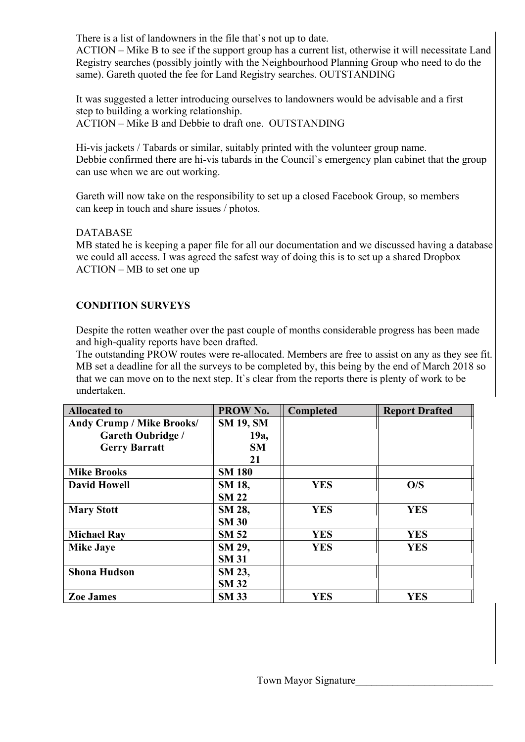There is a list of landowners in the file that's not up to date.

 ACTION – Mike B to see if the support group has a current list, otherwise it will necessitate Land Registry searches (possibly jointly with the Neighbourhood Planning Group who need to do the same). Gareth quoted the fee for Land Registry searches. OUTSTANDING

It was suggested a letter introducing ourselves to landowners would be advisable and a first step to building a working relationship.

ACTION – Mike B and Debbie to draft one. OUTSTANDING

Hi-vis jackets / Tabards or similar, suitably printed with the volunteer group name. Debbie confirmed there are hi-vis tabards in the Council`s emergency plan cabinet that the group can use when we are out working.

Gareth will now take on the responsibility to set up a closed Facebook Group, so members can keep in touch and share issues / photos.

## DATABASE

 MB stated he is keeping a paper file for all our documentation and we discussed having a database we could all access. I was agreed the safest way of doing this is to set up a shared Dropbox ACTION – MB to set one up

## **CONDITION SURVEYS**

Despite the rotten weather over the past couple of months considerable progress has been made and high-quality reports have been drafted.

 The outstanding PROW routes were re-allocated. Members are free to assist on any as they see fit. MB set a deadline for all the surveys to be completed by, this being by the end of March 2018 so that we can move on to the next step. It`s clear from the reports there is plenty of work to be undertaken.

| <b>Allocated to</b>              | PROW No.         | Completed  | <b>Report Drafted</b> |
|----------------------------------|------------------|------------|-----------------------|
| <b>Andy Crump / Mike Brooks/</b> | <b>SM 19, SM</b> |            |                       |
| <b>Gareth Oubridge /</b>         | 19a,             |            |                       |
| <b>Gerry Barratt</b>             | <b>SM</b>        |            |                       |
|                                  | 21               |            |                       |
| <b>Mike Brooks</b>               | <b>SM 180</b>    |            |                       |
| <b>David Howell</b>              | SM 18,           | <b>YES</b> | O/S                   |
|                                  | <b>SM 22</b>     |            |                       |
| <b>Mary Stott</b>                | SM 28,           | <b>YES</b> | <b>YES</b>            |
|                                  | <b>SM 30</b>     |            |                       |
| <b>Michael Ray</b>               | <b>SM 52</b>     | <b>YES</b> | <b>YES</b>            |
| <b>Mike Jaye</b>                 | SM 29,           | <b>YES</b> | <b>YES</b>            |
|                                  | <b>SM 31</b>     |            |                       |
| <b>Shona Hudson</b>              | SM 23,           |            |                       |
|                                  | <b>SM 32</b>     |            |                       |
| <b>Zoe James</b>                 | <b>SM 33</b>     | <b>YES</b> | <b>YES</b>            |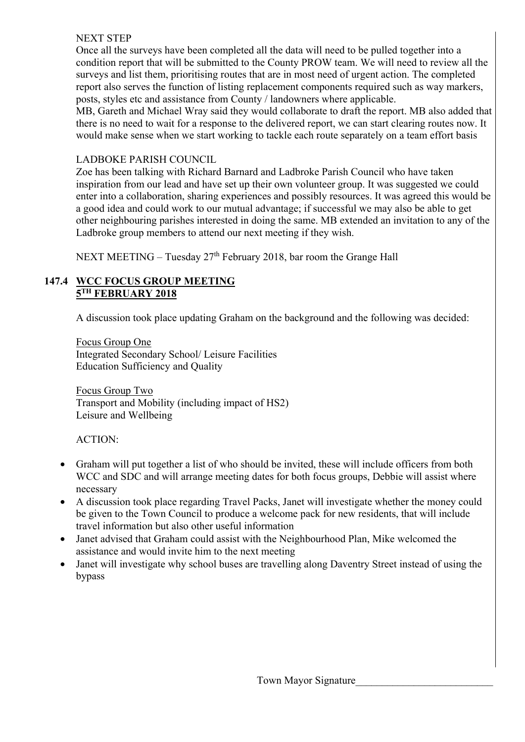#### NEXT STEP

 Once all the surveys have been completed all the data will need to be pulled together into a condition report that will be submitted to the County PROW team. We will need to review all the surveys and list them, prioritising routes that are in most need of urgent action. The completed report also serves the function of listing replacement components required such as way markers, posts, styles etc and assistance from County / landowners where applicable.

 MB, Gareth and Michael Wray said they would collaborate to draft the report. MB also added that there is no need to wait for a response to the delivered report, we can start clearing routes now. It would make sense when we start working to tackle each route separately on a team effort basis

## LADBOKE PARISH COUNCIL

 Zoe has been talking with Richard Barnard and Ladbroke Parish Council who have taken inspiration from our lead and have set up their own volunteer group. It was suggested we could enter into a collaboration, sharing experiences and possibly resources. It was agreed this would be a good idea and could work to our mutual advantage; if successful we may also be able to get other neighbouring parishes interested in doing the same. MB extended an invitation to any of the Ladbroke group members to attend our next meeting if they wish.

NEXT MEETING – Tuesday 27<sup>th</sup> February 2018, bar room the Grange Hall

#### **147.4 WCC FOCUS GROUP MEETING 5TH FEBRUARY 2018**

A discussion took place updating Graham on the background and the following was decided:

 Focus Group One Integrated Secondary School/ Leisure Facilities Education Sufficiency and Quality

 Focus Group Two Transport and Mobility (including impact of HS2) Leisure and Wellbeing

#### ACTION:

- Graham will put together a list of who should be invited, these will include officers from both WCC and SDC and will arrange meeting dates for both focus groups, Debbie will assist where necessary
- A discussion took place regarding Travel Packs, Janet will investigate whether the money could be given to the Town Council to produce a welcome pack for new residents, that will include travel information but also other useful information
- Janet advised that Graham could assist with the Neighbourhood Plan, Mike welcomed the assistance and would invite him to the next meeting
- Janet will investigate why school buses are travelling along Daventry Street instead of using the bypass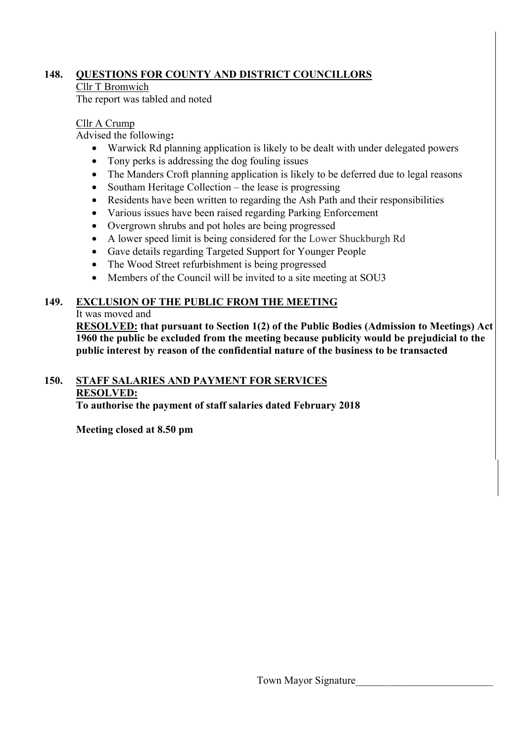## **148. QUESTIONS FOR COUNTY AND DISTRICT COUNCILLORS**

#### Cllr T Bromwich

The report was tabled and noted

## Cllr A Crump

Advised the following**:** 

- Warwick Rd planning application is likely to be dealt with under delegated powers
- Tony perks is addressing the dog fouling issues
- The Manders Croft planning application is likely to be deferred due to legal reasons
- Southam Heritage Collection the lease is progressing
- Residents have been written to regarding the Ash Path and their responsibilities
- Various issues have been raised regarding Parking Enforcement
- Overgrown shrubs and pot holes are being progressed
- A lower speed limit is being considered for the Lower Shuckburgh Rd
- Gave details regarding Targeted Support for Younger People
- The Wood Street refurbishment is being progressed
- Members of the Council will be invited to a site meeting at SOU3

# **149. EXCLUSION OF THE PUBLIC FROM THE MEETING**

## It was moved and

**RESOLVED: that pursuant to Section 1(2) of the Public Bodies (Admission to Meetings) Act 1960 the public be excluded from the meeting because publicity would be prejudicial to the public interest by reason of the confidential nature of the business to be transacted** 

## **150. STAFF SALARIES AND PAYMENT FOR SERVICES RESOLVED:**

 **To authorise the payment of staff salaries dated February 2018**

**Meeting closed at 8.50 pm**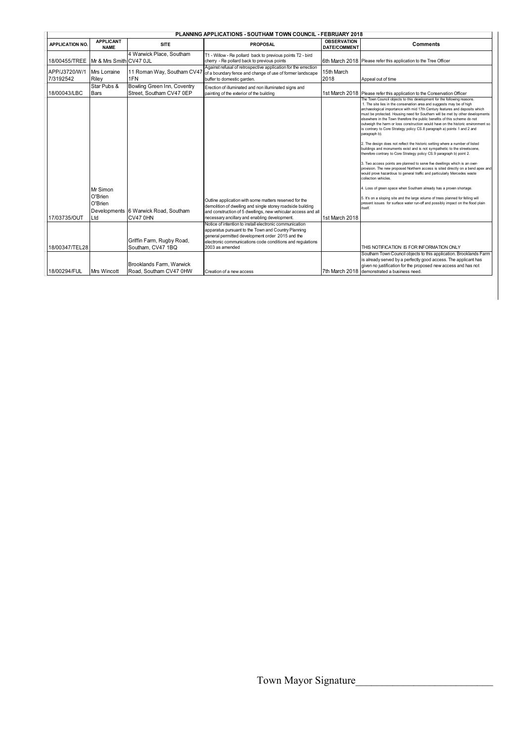| <b>PLANNING APPLICATIONS - SOUTHAM TOWN COUNCIL - FEBRUARY 2018</b> |                                       |                                                         |                                                                                                                                                                                                                                                    |                                           |                                                                                                                                                                                                                                                                                                                                                                                                                                                                                                                                                                                                                                                                                                                                                                                                                                                                                                                                                                                                                                                                                                                                                                                                                                                                                                                                                         |
|---------------------------------------------------------------------|---------------------------------------|---------------------------------------------------------|----------------------------------------------------------------------------------------------------------------------------------------------------------------------------------------------------------------------------------------------------|-------------------------------------------|---------------------------------------------------------------------------------------------------------------------------------------------------------------------------------------------------------------------------------------------------------------------------------------------------------------------------------------------------------------------------------------------------------------------------------------------------------------------------------------------------------------------------------------------------------------------------------------------------------------------------------------------------------------------------------------------------------------------------------------------------------------------------------------------------------------------------------------------------------------------------------------------------------------------------------------------------------------------------------------------------------------------------------------------------------------------------------------------------------------------------------------------------------------------------------------------------------------------------------------------------------------------------------------------------------------------------------------------------------|
| <b>APPLICATION NO.</b>                                              | <b>APPLICANT</b><br><b>NAME</b>       | <b>SITE</b>                                             | <b>PROPOSAL</b>                                                                                                                                                                                                                                    | <b>OBSERVATION</b><br><b>DATE/COMMENT</b> | <b>Comments</b>                                                                                                                                                                                                                                                                                                                                                                                                                                                                                                                                                                                                                                                                                                                                                                                                                                                                                                                                                                                                                                                                                                                                                                                                                                                                                                                                         |
| 18/00455/TREE Mr & Mrs Smith CV47 0JL                               |                                       | 4 Warwick Place, Southam                                | T1 - Willow - Re pollard back to previous points T2 - bird<br>cherry - Re pollard back to previous points                                                                                                                                          |                                           | 6th March 2018 Please refer this application to the Tree Officer                                                                                                                                                                                                                                                                                                                                                                                                                                                                                                                                                                                                                                                                                                                                                                                                                                                                                                                                                                                                                                                                                                                                                                                                                                                                                        |
| APP/J3720/W/1<br>7/3192542                                          | Mrs Lorraine<br>Riley                 | 11 Roman Way, Southam CV47<br>1FN                       | Against refusal of retrospective application for the errection<br>of a boundary fence and change of use of former landscape<br>buffer to domestic garden.                                                                                          | 15th March<br>2018                        | Appeal out of time                                                                                                                                                                                                                                                                                                                                                                                                                                                                                                                                                                                                                                                                                                                                                                                                                                                                                                                                                                                                                                                                                                                                                                                                                                                                                                                                      |
| 18/00043/LBC                                                        | Star Pubs &<br>Bars                   | Bowling Green Inn, Coventry<br>Street, Southam CV47 0EP | Erection of illuminated and non illuminated signs and<br>painting of the exterior of the building                                                                                                                                                  |                                           | 1st March 2018 Please refer this application to the Conservation Officer                                                                                                                                                                                                                                                                                                                                                                                                                                                                                                                                                                                                                                                                                                                                                                                                                                                                                                                                                                                                                                                                                                                                                                                                                                                                                |
| 17/03735/OUT                                                        | Mr Simon<br>O'Brien<br>O'Brien<br>Ltd | Developments 6 Warwick Road, Southam<br><b>CV47 0HN</b> | Outline application with some matters reserved for the<br>demolition of dwelling and single storey roadside building<br>and construction of 5 dwellings, new vehicular access and all<br>necessary ancillary and enabling development.             | 1st March 2018                            | The Town Council objects to this development for the following reasons.<br>1. The site lies in the conservation area and suggests may be of high<br>archaeological importance with mid 17th Century features and deposits which<br>must be protected. Housing need for Southam will be met by other developments<br>elsewhere in the Town therefore the public benefits of this scheme do not<br>outweigh the harm or loss construction would have on the historic environment so<br>is contrary to Core Strategy policy CS.8 paragraph a) points 1 and 2 and<br>paragraph b).<br>2. The design does not reflect the historic setting where a number of listed<br>buildings and monuments exist and is not sympathetic to the streetscene,<br>therefore contrary to Core Strategy policy CS.9 paragraph b) point 2.<br>3. Two access points are planned to serve five dwellings which is an over-<br>provision. The new proposed Northern access is sited directly on a bend apex and<br>would prove hazardous to general traffic and particularly Mercedes waste<br>collection vehicles.<br>4. Loss of green space when Southam already has a proven shortage.<br>5. It's on a sloping site and the large volume of trees planned for felling will<br>present issues for surface water run-off and possibly impact on the flood plain<br><i>itself</i> |
| 18/00347/TEL28                                                      |                                       | Griffin Farm, Rugby Road,<br>Southam, CV47 1BQ          | Notice of intention to install electronic communication<br>apparatus pursuant to the Town and Country Planning<br>general permitted development order 2015 and the<br>electronic communications code conditions and regulations<br>2003 as amended |                                           | THIS NOTIFICATION IS FOR INFORMATION ONLY                                                                                                                                                                                                                                                                                                                                                                                                                                                                                                                                                                                                                                                                                                                                                                                                                                                                                                                                                                                                                                                                                                                                                                                                                                                                                                               |
| 18/00294/FUL                                                        | <b>Mrs Wincott</b>                    | Brooklands Farm, Warwick<br>Road, Southam CV47 0HW      | Creation of a new access                                                                                                                                                                                                                           |                                           | Southam Town Council objects to this application. Brooklands Farm<br>is already served by a perfectly good access. The applicant has<br>given no justification for the proposed new access and has not<br>7th March 2018 demonstrated a business need.                                                                                                                                                                                                                                                                                                                                                                                                                                                                                                                                                                                                                                                                                                                                                                                                                                                                                                                                                                                                                                                                                                  |